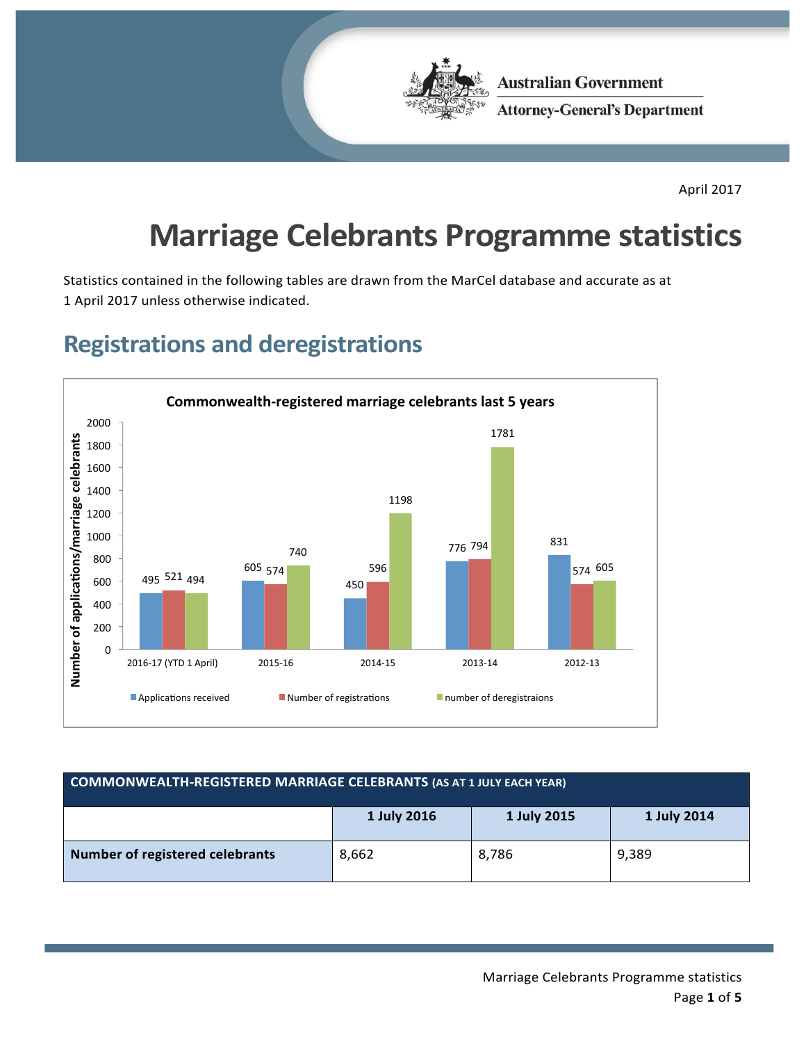

**Australian Government Attorney-General's Department** 

April 2017

# **Marriage Celebrants Programme statistics**

Statistics contained in the following tables are drawn from the MarCel database and accurate as at 1 April 2017 unless otherwise indicated.

#### **Registrations and deregistrations**



| <b>COMMONWEALTH-REGISTERED MARRIAGE CELEBRANTS (AS AT 1 JULY EACH YEAR)</b> |       |       |       |  |  |
|-----------------------------------------------------------------------------|-------|-------|-------|--|--|
| 1 July 2016<br>1 July 2015<br>1 July 2014                                   |       |       |       |  |  |
| <b>Number of registered celebrants</b>                                      | 8,662 | 8,786 | 9,389 |  |  |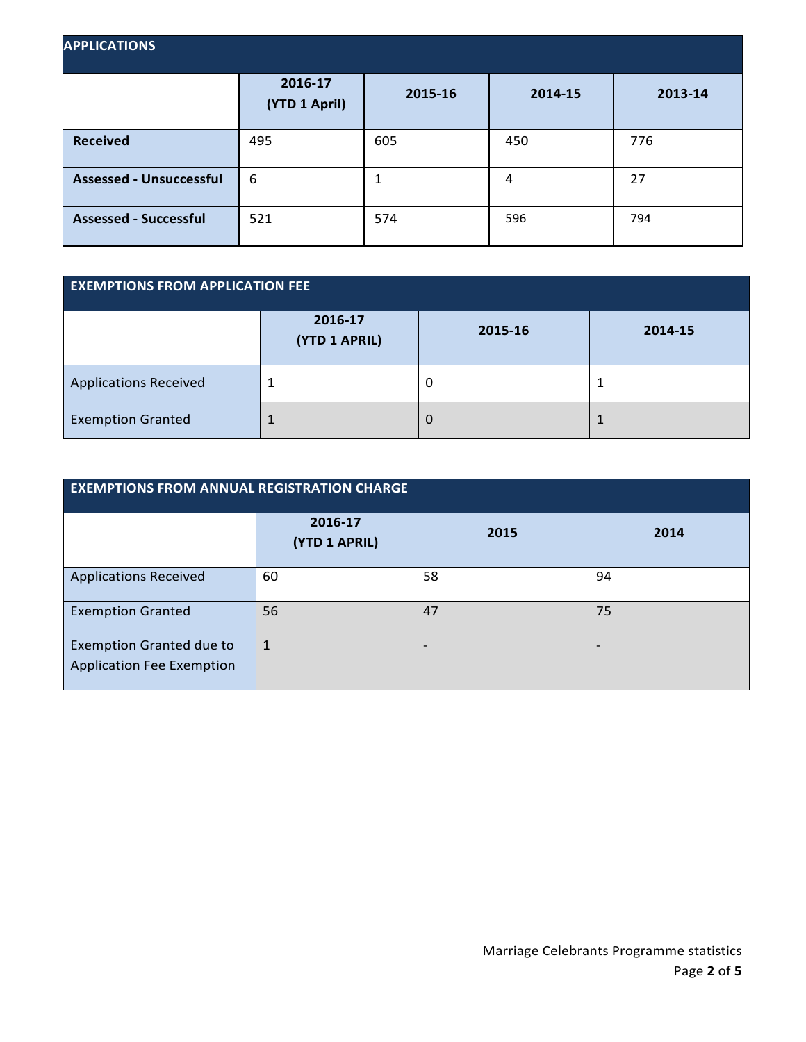| <b>APPLICATIONS</b>            |                          |         |         |         |  |
|--------------------------------|--------------------------|---------|---------|---------|--|
|                                | 2016-17<br>(YTD 1 April) | 2015-16 | 2014-15 | 2013-14 |  |
| <b>Received</b>                | 495                      | 605     | 450     | 776     |  |
| <b>Assessed - Unsuccessful</b> | 6                        |         | 4       | 27      |  |
| <b>Assessed - Successful</b>   | 521                      | 574     | 596     | 794     |  |

| <b>EXEMPTIONS FROM APPLICATION FEE</b> |                          |         |         |  |
|----------------------------------------|--------------------------|---------|---------|--|
|                                        | 2016-17<br>(YTD 1 APRIL) | 2015-16 | 2014-15 |  |
| <b>Applications Received</b>           | 1                        | U       |         |  |
| <b>Exemption Granted</b>               | 1                        | O       |         |  |

| <b>EXEMPTIONS FROM ANNUAL REGISTRATION CHARGE</b>                   |                          |      |      |  |  |
|---------------------------------------------------------------------|--------------------------|------|------|--|--|
|                                                                     | 2016-17<br>(YTD 1 APRIL) | 2015 | 2014 |  |  |
| <b>Applications Received</b>                                        | 60                       | 58   | 94   |  |  |
| <b>Exemption Granted</b>                                            | 56                       | 47   | 75   |  |  |
| <b>Exemption Granted due to</b><br><b>Application Fee Exemption</b> | 1                        | -    |      |  |  |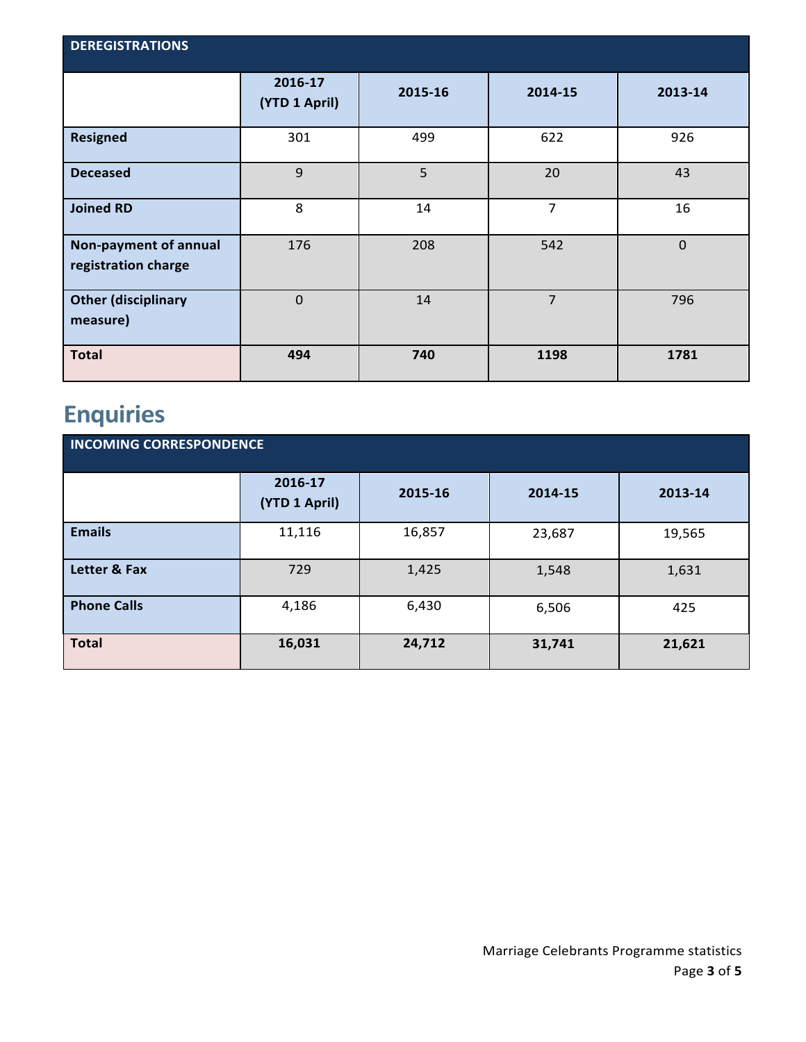| <b>DEREGISTRATIONS</b>                       |                          |         |         |             |  |
|----------------------------------------------|--------------------------|---------|---------|-------------|--|
|                                              | 2016-17<br>(YTD 1 April) | 2015-16 | 2014-15 | 2013-14     |  |
| <b>Resigned</b>                              | 301                      | 499     | 622     | 926         |  |
| <b>Deceased</b>                              | $\overline{9}$           | 5       | 20      | 43          |  |
| <b>Joined RD</b>                             | 8                        | 14      | 7       | 16          |  |
| Non-payment of annual<br>registration charge | 176                      | 208     | 542     | $\mathbf 0$ |  |
| <b>Other (disciplinary</b><br>measure)       | $\mathbf{0}$             | 14      | 7       | 796         |  |
| <b>Total</b>                                 | 494                      | 740     | 1198    | 1781        |  |

## **Enquiries**

| <b>INCOMING CORRESPONDENCE</b> |                          |         |         |         |  |
|--------------------------------|--------------------------|---------|---------|---------|--|
|                                | 2016-17<br>(YTD 1 April) | 2015-16 | 2014-15 | 2013-14 |  |
| <b>Emails</b>                  | 11,116                   | 16,857  | 23,687  | 19,565  |  |
| Letter & Fax                   | 729                      | 1,425   | 1,548   | 1,631   |  |
| <b>Phone Calls</b>             | 4,186                    | 6,430   | 6,506   | 425     |  |
| <b>Total</b>                   | 16,031                   | 24,712  | 31,741  | 21,621  |  |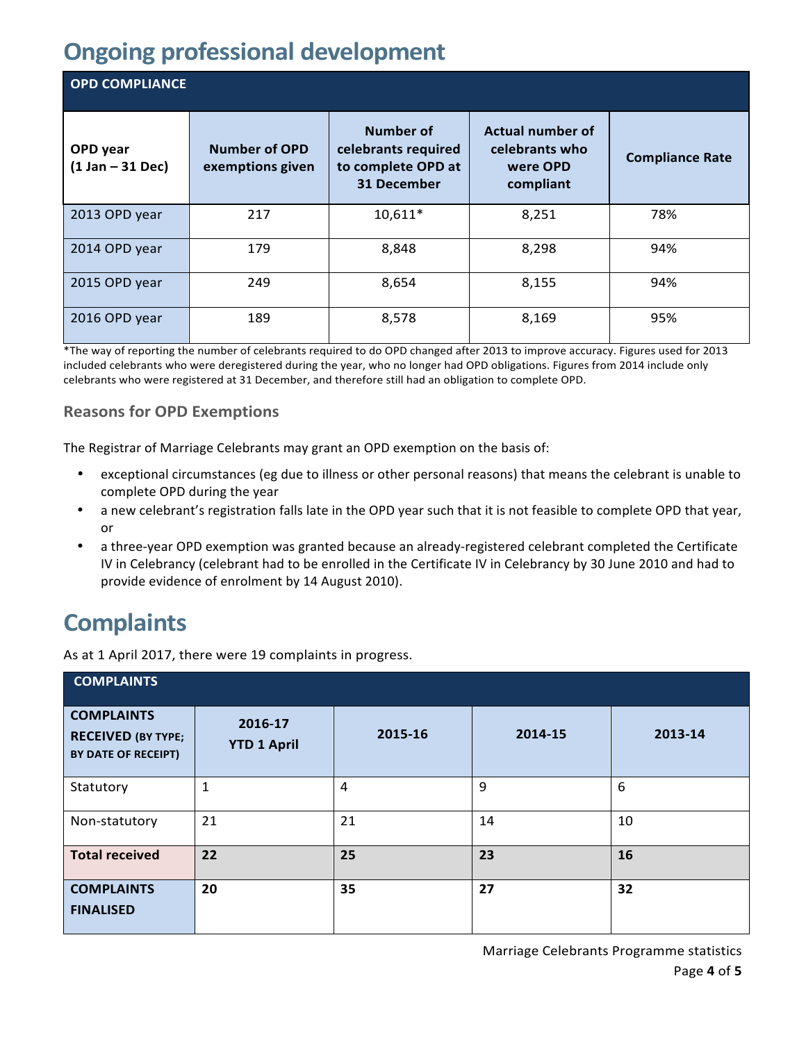### **Ongoing professional development**

| <b>OPD COMPLIANCE</b>          |                                          |                                                                              |                                                                    |                        |  |  |
|--------------------------------|------------------------------------------|------------------------------------------------------------------------------|--------------------------------------------------------------------|------------------------|--|--|
| OPD year<br>$(1 Jan - 31 Dec)$ | <b>Number of OPD</b><br>exemptions given | <b>Number of</b><br>celebrants required<br>to complete OPD at<br>31 December | <b>Actual number of</b><br>celebrants who<br>were OPD<br>compliant | <b>Compliance Rate</b> |  |  |
| 2013 OPD year                  | 217                                      | $10,611*$                                                                    | 8,251                                                              | 78%                    |  |  |
| 2014 OPD year                  | 179                                      | 8,848                                                                        | 8,298                                                              | 94%                    |  |  |
| 2015 OPD year                  | 249                                      | 8,654                                                                        | 8,155                                                              | 94%                    |  |  |
| 2016 OPD year                  | 189                                      | 8,578                                                                        | 8,169                                                              | 95%                    |  |  |

\*The way of reporting the number of celebrants required to do OPD changed after 2013 to improve accuracy. Figures used for 2013 included celebrants who were deregistered during the year, who no longer had OPD obligations. Figures from 2014 include only celebrants who were registered at 31 December, and therefore still had an obligation to complete OPD.

#### **Reasons for OPD Exemptions**

The Registrar of Marriage Celebrants may grant an OPD exemption on the basis of:

- exceptional circumstances (eg due to illness or other personal reasons) that means the celebrant is unable to complete OPD during the year
- a new celebrant's registration falls late in the OPD year such that it is not feasible to complete OPD that year, or
- a three-year OPD exemption was granted because an already-registered celebrant completed the Certificate IV in Celebrancy (celebrant had to be enrolled in the Certificate IV in Celebrancy by 30 June 2010 and had to provide evidence of enrolment by 14 August 2010).

#### **Complaints**

As at 1 April 2017, there were 19 complaints in progress.

| <b>COMPLAINTS</b>                                                     |                               |         |         |         |  |
|-----------------------------------------------------------------------|-------------------------------|---------|---------|---------|--|
| <b>COMPLAINTS</b><br><b>RECEIVED (BY TYPE;</b><br>BY DATE OF RECEIPT) | 2016-17<br><b>YTD 1 April</b> | 2015-16 | 2014-15 | 2013-14 |  |
| Statutory                                                             | $\mathbf 1$                   | 4       | 9       | 6       |  |
| Non-statutory                                                         | 21                            | 21      | 14      | 10      |  |
| <b>Total received</b>                                                 | 22                            | 25      | 23      | 16      |  |
| <b>COMPLAINTS</b><br><b>FINALISED</b>                                 | 20                            | 35      | 27      | 32      |  |